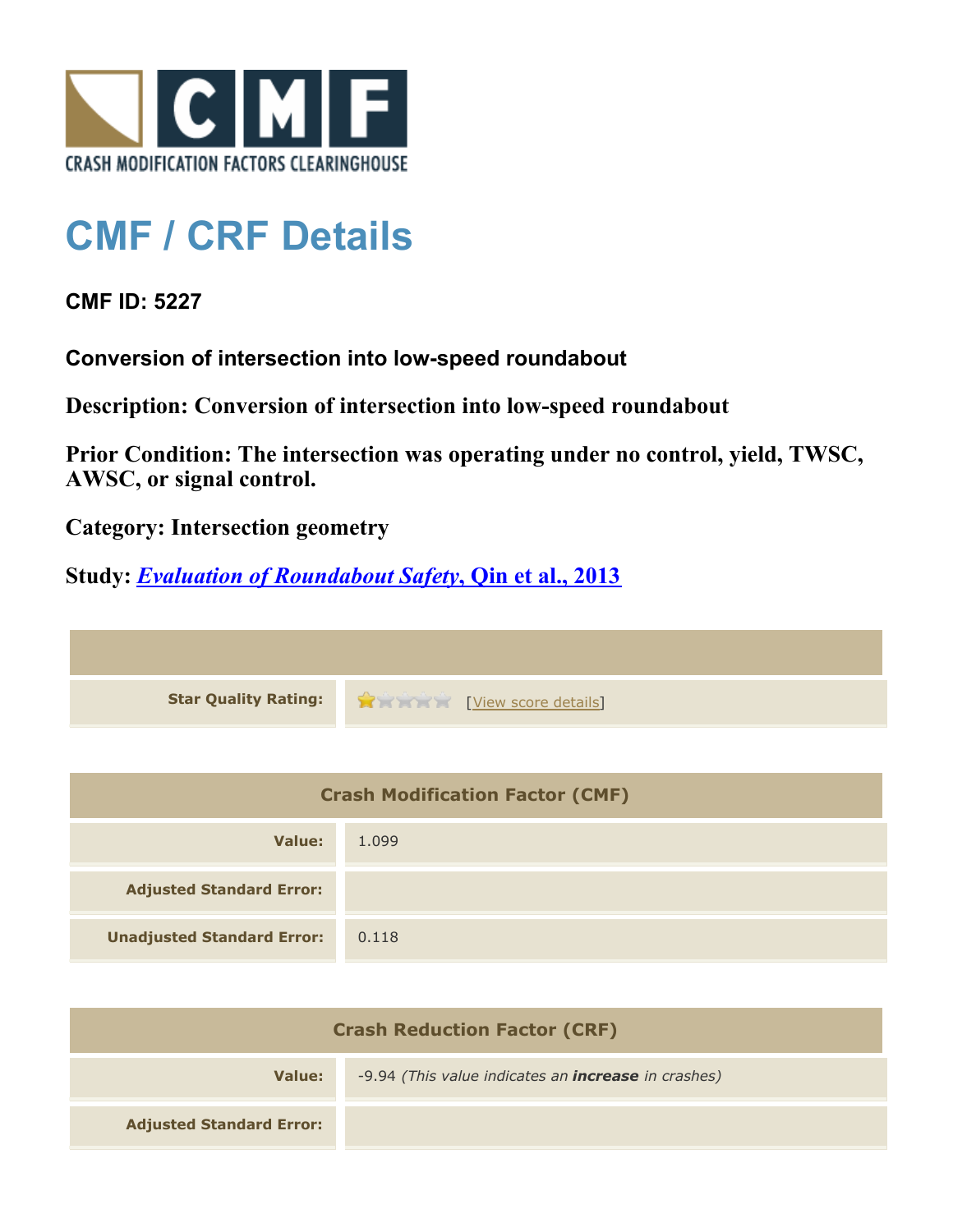

# **CMF / CRF Details**

### **CMF ID: 5227**

**Conversion of intersection into low-speed roundabout**

**Description: Conversion of intersection into low-speed roundabout**

**Prior Condition: The intersection was operating under no control, yield, TWSC, AWSC, or signal control.**

**Category: Intersection geometry**

## **Study:** *[Evaluation of Roundabout Safety](http://www.cmfclearinghouse.org/study_detail.cfm?stid=317)***[, Qin et al., 2013](http://www.cmfclearinghouse.org/study_detail.cfm?stid=317)**

**Star Quality Rating:**  $\frac{1}{2}$  **[[View score details](http://www.cmfclearinghouse.org/score_details.cfm?facid=5227)]** 

| <b>Crash Modification Factor (CMF)</b> |       |
|----------------------------------------|-------|
| Value:                                 | 1.099 |
| <b>Adjusted Standard Error:</b>        |       |
| <b>Unadjusted Standard Error:</b>      | 0.118 |

| <b>Crash Reduction Factor (CRF)</b> |                                                            |
|-------------------------------------|------------------------------------------------------------|
| Value:                              | -9.94 (This value indicates an <b>increase</b> in crashes) |
| <b>Adjusted Standard Error:</b>     |                                                            |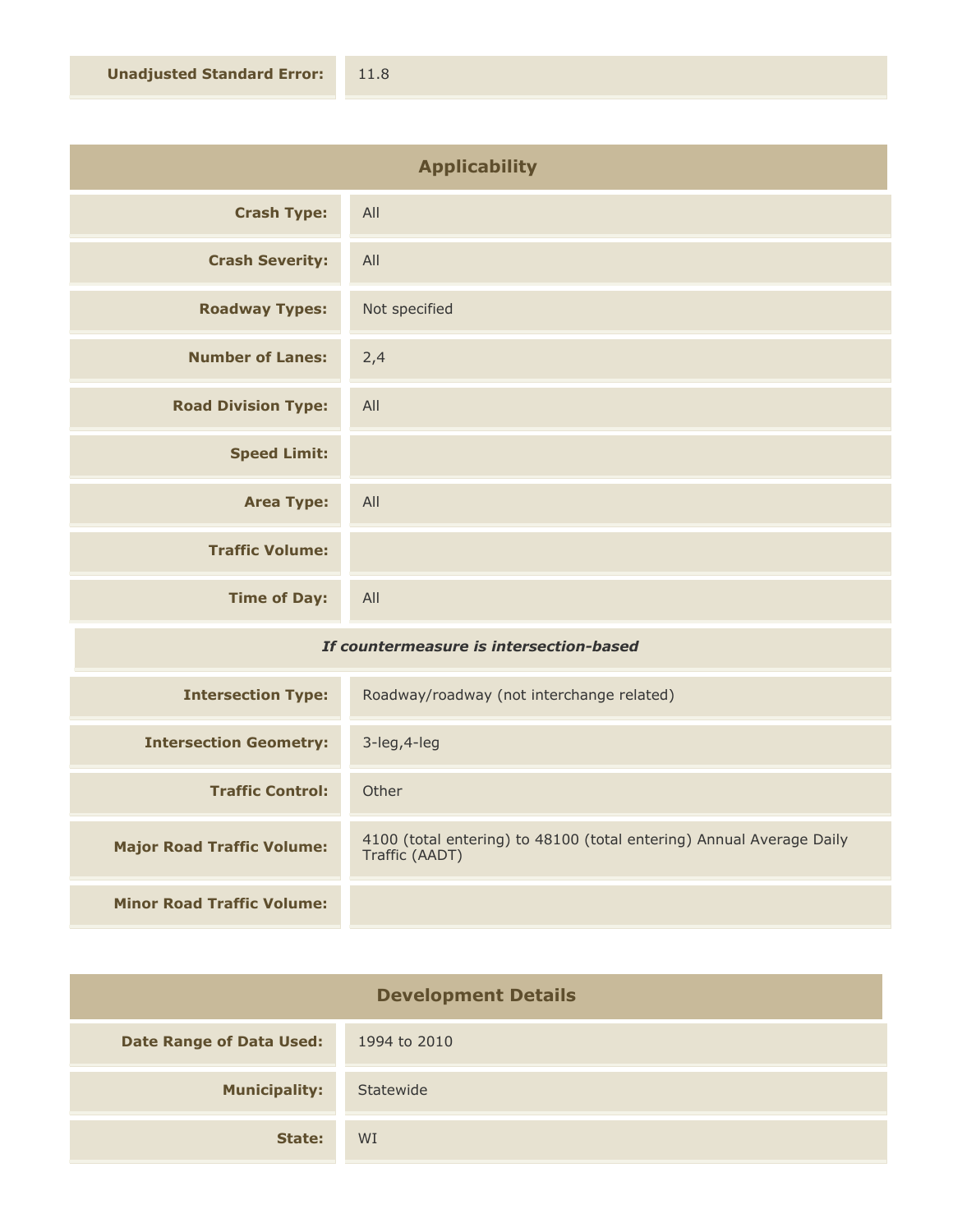| <b>Applicability</b>       |               |
|----------------------------|---------------|
| <b>Crash Type:</b>         | All           |
| <b>Crash Severity:</b>     | All           |
| <b>Roadway Types:</b>      | Not specified |
| <b>Number of Lanes:</b>    | 2,4           |
| <b>Road Division Type:</b> | All           |
| <b>Speed Limit:</b>        |               |
| <b>Area Type:</b>          | All           |
| <b>Traffic Volume:</b>     |               |
| <b>Time of Day:</b>        | All           |

#### *If countermeasure is intersection-based*

| <b>Intersection Type:</b>         | Roadway/roadway (not interchange related)                                              |
|-----------------------------------|----------------------------------------------------------------------------------------|
| <b>Intersection Geometry:</b>     | $3$ -leg, $4$ -leg                                                                     |
| <b>Traffic Control:</b>           | Other                                                                                  |
| <b>Major Road Traffic Volume:</b> | 4100 (total entering) to 48100 (total entering) Annual Average Daily<br>Traffic (AADT) |
|                                   |                                                                                        |
| <b>Minor Road Traffic Volume:</b> |                                                                                        |

| <b>Development Details</b>      |              |
|---------------------------------|--------------|
| <b>Date Range of Data Used:</b> | 1994 to 2010 |
| <b>Municipality:</b>            | Statewide    |
| State:                          | WI           |